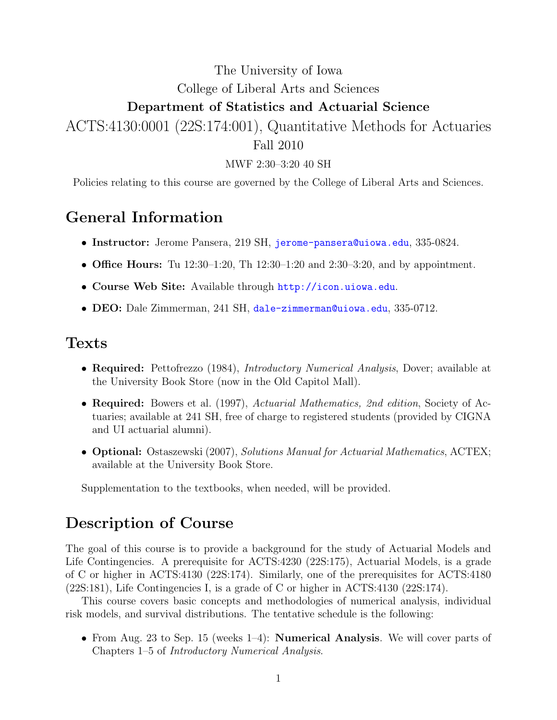# The University of Iowa College of Liberal Arts and Sciences Department of Statistics and Actuarial Science

ACTS:4130:0001 (22S:174:001), Quantitative Methods for Actuaries Fall 2010

MWF 2:30–3:20 40 SH

Policies relating to this course are governed by the College of Liberal Arts and Sciences.

#### General Information

- Instructor: Jerome Pansera, 219 SH, [jerome-pansera@uiowa.edu](mailto:jerome-pansera@uiowa.edu), 335-0824.
- Office Hours: Tu  $12:30-1:20$ , Th  $12:30-1:20$  and  $2:30-3:20$ , and by appointment.
- Course Web Site: Available through <http://icon.uiowa.edu>.
- DEO: Dale Zimmerman, 241 SH, [dale-zimmerman@uiowa.edu](mailto:dale-zimmerman@uiowa.edu), 335-0712.

#### Texts

- Required: Pettofrezzo (1984), *Introductory Numerical Analysis*, Dover; available at the University Book Store (now in the Old Capitol Mall).
- Required: Bowers et al. (1997), Actuarial Mathematics, 2nd edition, Society of Actuaries; available at 241 SH, free of charge to registered students (provided by CIGNA and UI actuarial alumni).
- **Optional:** Ostaszewski (2007), Solutions Manual for Actuarial Mathematics, ACTEX; available at the University Book Store.

Supplementation to the textbooks, when needed, will be provided.

#### Description of Course

The goal of this course is to provide a background for the study of Actuarial Models and Life Contingencies. A prerequisite for ACTS:4230 (22S:175), Actuarial Models, is a grade of C or higher in ACTS:4130 (22S:174). Similarly, one of the prerequisites for ACTS:4180 (22S:181), Life Contingencies I, is a grade of C or higher in ACTS:4130 (22S:174).

This course covers basic concepts and methodologies of numerical analysis, individual risk models, and survival distributions. The tentative schedule is the following:

• From Aug. 23 to Sep. 15 (weeks 1–4): **Numerical Analysis**. We will cover parts of Chapters 1–5 of Introductory Numerical Analysis.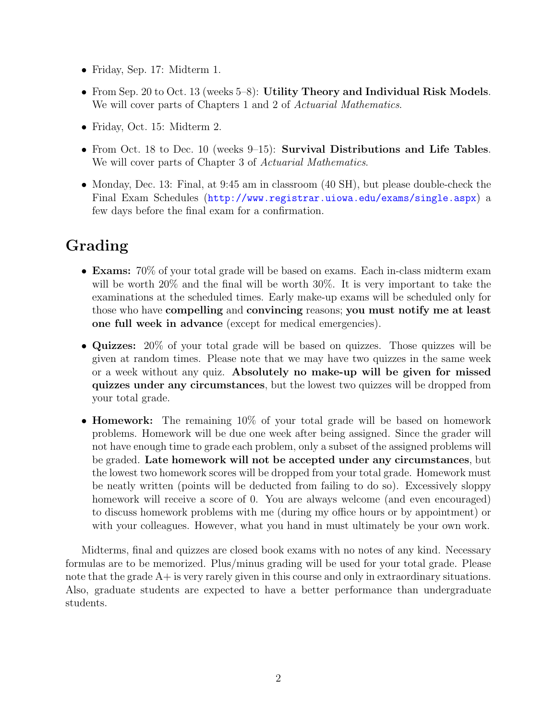- Friday, Sep. 17: Midterm 1.
- From Sep. 20 to Oct. 13 (weeks 5–8): Utility Theory and Individual Risk Models. We will cover parts of Chapters 1 and 2 of Actuarial Mathematics.
- Friday, Oct. 15: Midterm 2.
- From Oct. 18 to Dec. 10 (weeks 9–15): Survival Distributions and Life Tables. We will cover parts of Chapter 3 of Actuarial Mathematics.
- Monday, Dec. 13: Final, at 9:45 am in classroom (40 SH), but please double-check the Final Exam Schedules (<http://www.registrar.uiowa.edu/exams/single.aspx>) a few days before the final exam for a confirmation.

# Grading

- **Exams:** 70% of your total grade will be based on exams. Each in-class midterm exam will be worth  $20\%$  and the final will be worth  $30\%$ . It is very important to take the examinations at the scheduled times. Early make-up exams will be scheduled only for those who have compelling and convincing reasons; you must notify me at least one full week in advance (except for medical emergencies).
- Quizzes: 20% of your total grade will be based on quizzes. Those quizzes will be given at random times. Please note that we may have two quizzes in the same week or a week without any quiz. Absolutely no make-up will be given for missed quizzes under any circumstances, but the lowest two quizzes will be dropped from your total grade.
- **Homework:** The remaining 10% of your total grade will be based on homework problems. Homework will be due one week after being assigned. Since the grader will not have enough time to grade each problem, only a subset of the assigned problems will be graded. Late homework will not be accepted under any circumstances, but the lowest two homework scores will be dropped from your total grade. Homework must be neatly written (points will be deducted from failing to do so). Excessively sloppy homework will receive a score of 0. You are always welcome (and even encouraged) to discuss homework problems with me (during my office hours or by appointment) or with your colleagues. However, what you hand in must ultimately be your own work.

Midterms, final and quizzes are closed book exams with no notes of any kind. Necessary formulas are to be memorized. Plus/minus grading will be used for your total grade. Please note that the grade  $A<sub>+</sub>$  is very rarely given in this course and only in extraordinary situations. Also, graduate students are expected to have a better performance than undergraduate students.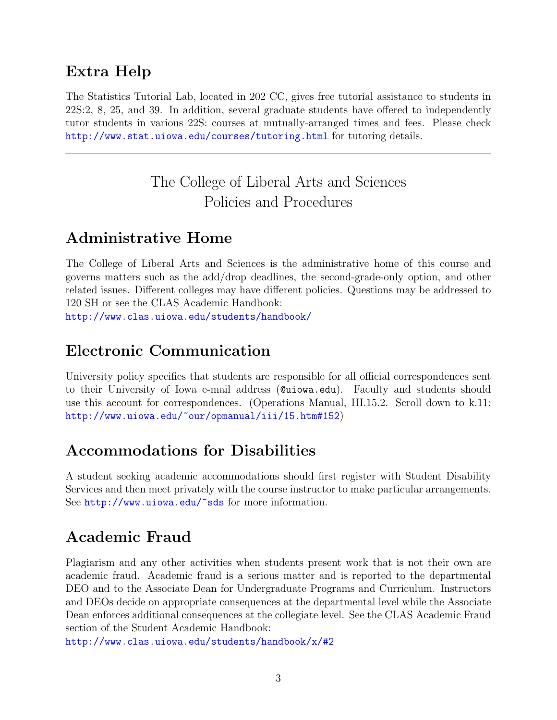### Extra Help

The Statistics Tutorial Lab, located in 202 CC, gives free tutorial assistance to students in 22S:2, 8, 25, and 39. In addition, several graduate students have offered to independently tutor students in various 22S: courses at mutually-arranged times and fees. Please check <http://www.stat.uiowa.edu/courses/tutoring.html> for tutoring details.

# The College of Liberal Arts and Sciences Policies and Procedures

## Administrative Home

The College of Liberal Arts and Sciences is the administrative home of this course and governs matters such as the add/drop deadlines, the second-grade-only option, and other related issues. Different colleges may have different policies. Questions may be addressed to 120 SH or see the CLAS Academic Handbook:

<http://www.clas.uiowa.edu/students/handbook/>

#### Electronic Communication

University policy specifies that students are responsible for all official correspondences sent to their University of Iowa e-mail address (@uiowa.edu). Faculty and students should use this account for correspondences. (Operations Manual, III.15.2. Scroll down to k.11: <http://www.uiowa.edu/~our/opmanual/iii/15.htm#152>)

## Accommodations for Disabilities

A student seeking academic accommodations should first register with Student Disability Services and then meet privately with the course instructor to make particular arrangements. See [http://www.uiowa.edu/~sds](http://www.uiowa.edu/~sds/) for more information.

## Academic Fraud

Plagiarism and any other activities when students present work that is not their own are academic fraud. Academic fraud is a serious matter and is reported to the departmental DEO and to the Associate Dean for Undergraduate Programs and Curriculum. Instructors and DEOs decide on appropriate consequences at the departmental level while the Associate Dean enforces additional consequences at the collegiate level. See the CLAS Academic Fraud section of the Student Academic Handbook:

<http://www.clas.uiowa.edu/students/handbook/x/#2>